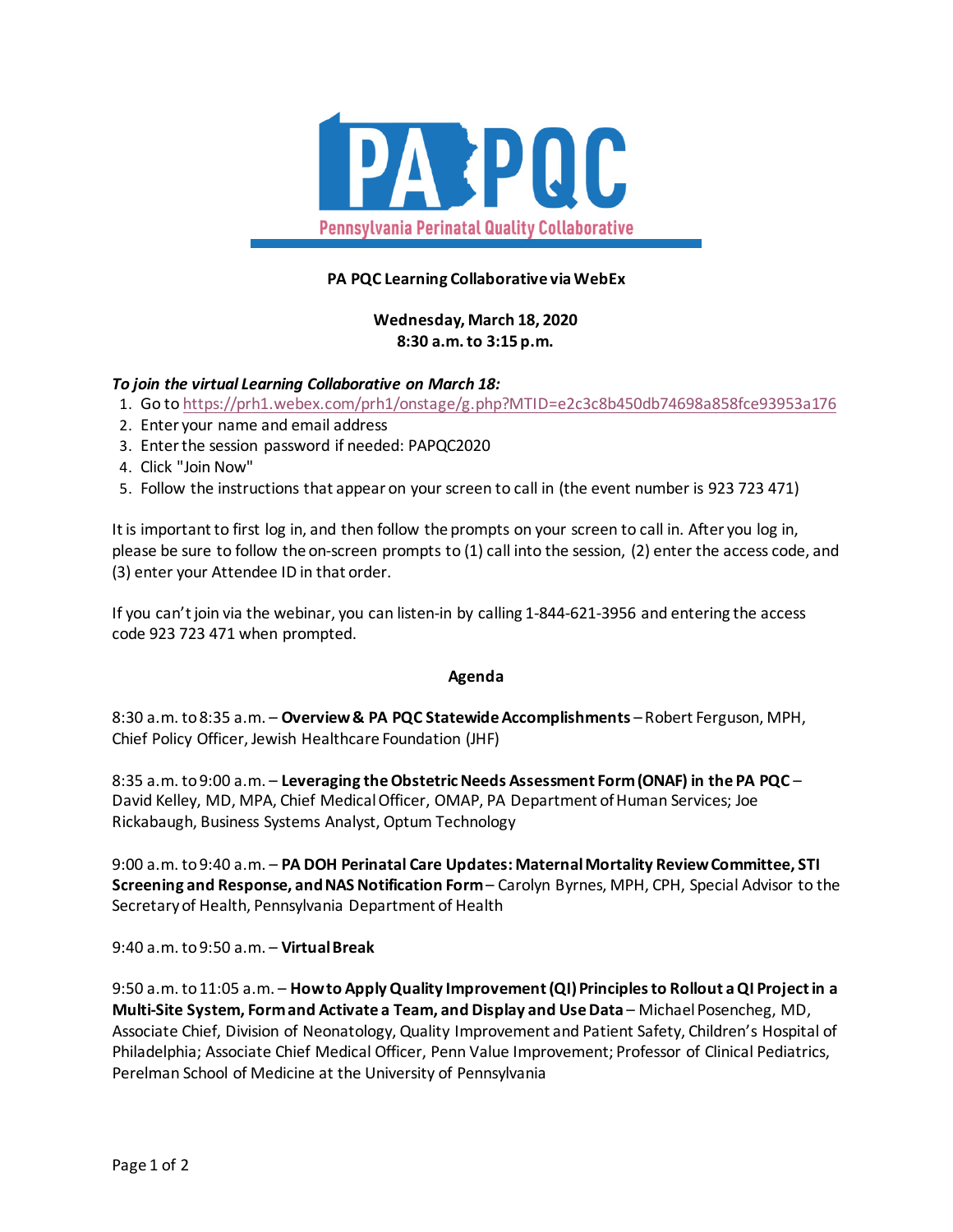

## **PA PQC Learning Collaborative via WebEx**

# **Wednesday, March 18, 2020 8:30 a.m. to 3:15 p.m.**

## *To join the virtual Learning Collaborative on March 18:*

- 1. Go t[o https://prh1.webex.com/prh1/onstage/g.php?MTID=e2c3c8b450db74698a858fce93953a176](https://prh1.webex.com/prh1/onstage/g.php?MTID=e2c3c8b450db74698a858fce93953a176)
- 2. Enter your name and email address
- 3. Enter the session password if needed: PAPQC2020
- 4. Click "Join Now"
- 5. Follow the instructions that appear on your screen to call in (the event number is 923 723 471)

It is important to first log in, and then follow the prompts on your screen to call in. After you log in, please be sure to follow the on-screen prompts to (1) call into the session, (2) enter the access code, and (3) enter your Attendee ID in that order.

If you can't join via the webinar, you can listen-in by calling 1-844-621-3956 and entering the access code 923 723 471 when prompted.

#### **Agenda**

8:30 a.m. to 8:35 a.m. – **Overview & PA PQC Statewide Accomplishments** – Robert Ferguson, MPH, Chief Policy Officer, Jewish Healthcare Foundation (JHF)

8:35 a.m. to 9:00 a.m. – **Leveraging the Obstetric Needs Assessment Form (ONAF) in the PA PQC** – David Kelley, MD, MPA, Chief Medical Officer, OMAP, PA Department of Human Services; Joe Rickabaugh, Business Systems Analyst, Optum Technology

9:00 a.m. to 9:40 a.m. *–* **PA DOH Perinatal Care Updates: Maternal Mortality Review Committee, STI Screening and Response, and NAS Notification Form**– Carolyn Byrnes, MPH, CPH, Special Advisor to the Secretary of Health, Pennsylvania Department of Health

9:40 a.m. to 9:50 a.m. – **Virtual Break**

9:50 a.m. to 11:05 a.m. – **How to Apply Quality Improvement (QI) Principles to Rollout a QI Project in a Multi-Site System, Form and Activate a Team, and Display and Use Data** – Michael Posencheg, MD, Associate Chief, Division of Neonatology, Quality Improvement and Patient Safety, Children's Hospital of Philadelphia; Associate Chief Medical Officer, Penn Value Improvement; Professor of Clinical Pediatrics, Perelman School of Medicine at the University of Pennsylvania